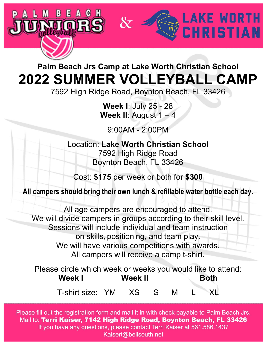

## **Palm Beach Jrs Camp at Lake Worth Christian School 2022 SUMMER VOLLEYBALL CAMP**

7592 High Ridge Road, Boynton Beach, FL 33426

**Week I**: July 25 - 28 **Week II:** August  $1 - 4$ 

9:00AM - 2:00PM

Location: **Lake Worth Christian School** 7592 High Ridge Road Boynton Beach, FL 33426

Cost: **\$175** per week or both for **\$300**

**All campers should bring their own lunch & refillable water bottle each day.**

All age campers are encouraged to attend. We will divide campers in groups according to their skill level. Sessions will include individual and team instruction on skills, positioning, and team play. We will have various competitions with awards. All campers will receive a camp t-shirt.

Please circle which week or weeks you would like to attend: **Week I Week II Both** T-shirt size: YM XS S M L XL

(adult sizes)

Please fill out the registration form and mail it in with check payable to Palm Beach Jrs. Mail to: Terri Kaiser, 7142 High Ridge Road, Boynton Beach, FL 33426 If you have any questions, please contact Terri Kaiser at 561.586.1437 Kaisert@bellsouth.net